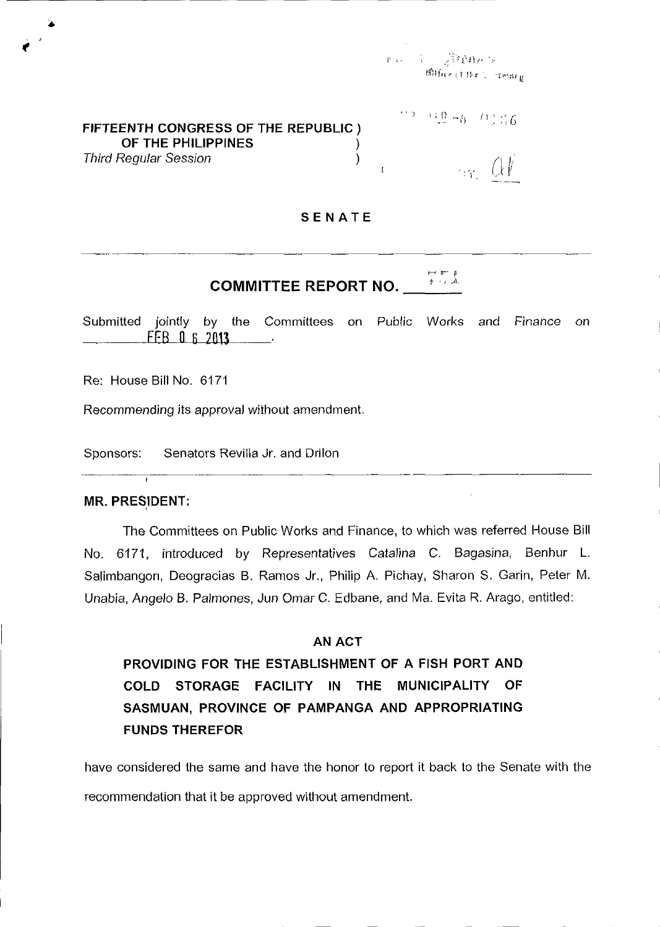$\label{eq:3.1} \mathcal{V}(\mathbf{x},\mathbf{y}) = \mathcal{V} \left( \frac{1}{\sqrt{2}} \mathcal{V} \mathcal{V} \mathcal{V} \right) \mathcal{S}^{2} \left( \mathbf{y} \right)$ 确fare (the Comarg

# **FIFTEENTH CONGRESS OF THE REPUBLIC) OF THE PHILIPPINES** ) Third Regular Session )

 $" = 19 - 6 - 11$  :46  $\alpha$  if

### **SENATE**

 $\mathbf{r}$ 

#### ک سو بسو<br>الحد بار **COMMITTEE REPORT NO.**

Submitted jointly by the Committees on Public Works and Finance on FEB n 6 2013  $\sim$ 

Re: House Bill No. 6171

•

Recommending its approval without amendment.

Sponsors: Senators Revilla Jr. and Drilon

## **MR. PRESIDENT:**

The Committees on Public Works and Finance, to which was referred House Bill No. 6171, introduced by Representatives Catalina C. Bagasina, Benhur L. Salimbangon, Deogracias B. Ramos Jr., Philip A. Pichay, Sharon S. Garin, Peter M. Unabia, Angelo B. Palmones, Jun Omar C. Edbane, and Ma. Evita R. Arago, entitled:

# AN ACT

**PROVIDING FOR THE ESTABLISHMENT OF A FISH PORT AND COLD STORAGE FACILITY IN THE MUNICIPALITY OF SASMUAN, PROVINCE OF PAMPANGA AND APPROPRIATING FUNDS THEREFOR** 

have considered the same and have the honor to report it back to the Senate with the recommendation that it be approved without amendment.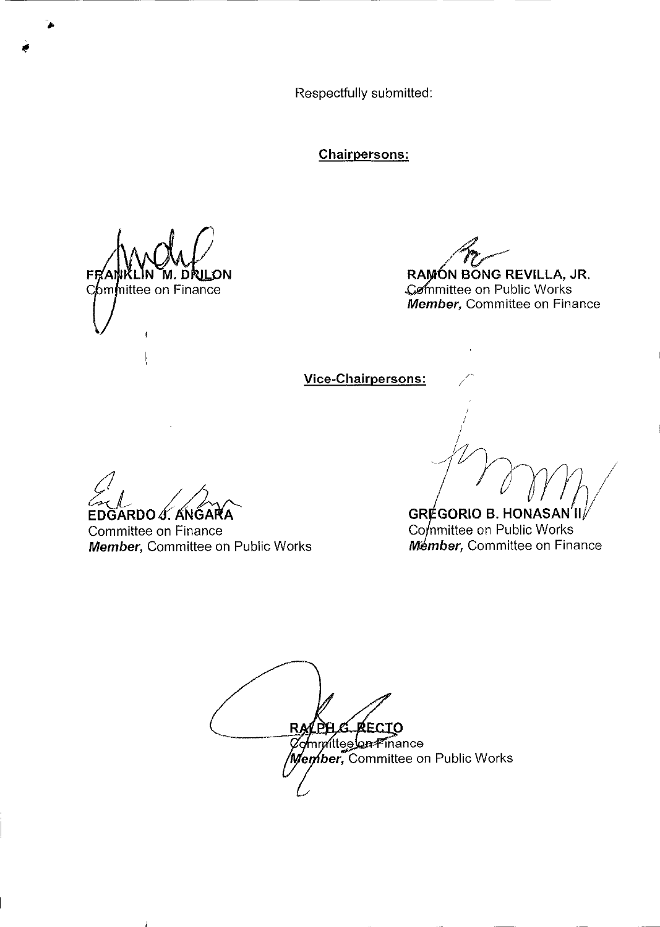Respectfully submitted:

**Chairpersons:** 

M. DRIL ЮN bm**i**nittee on Finance

RAMÓN BONG REVILLA, JR. Committee on Public Works Member, Committee on Finance

Vice-Chairpersons:

EDĞARDO S. ANGARA

Committee on Finance Member, Committee on Public Works

GRÉGORIO B. HONASAN'II/ Committee on Public Works **Mémber, Committee on Finance** 

G RECIO RALPI Committee on Finance Member, Committee on Public Works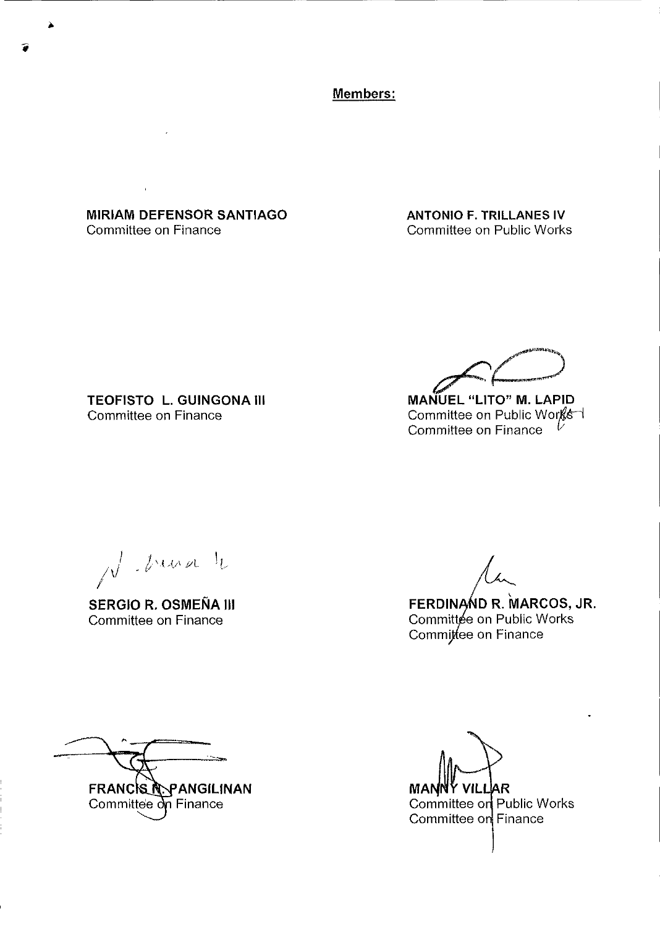Members:

**MIRIAM DEFENSOR SANTIAGO** Committee on Finance

**ANTONIO F. TRILLANES IV** Committee on Public Works

TEOFISTO L. GUINGONA III Committee on Finance

MANUEL "LITO" M. LAPID

Committee on Public Works Committee on Finance

N Driver to

**SERGIO R. OSMEÑA III** Committee on Finance

FERDINAND R. MARCOS, JR.

Committée on Public Works Commitee on Finance

FRANCIS N. PANGILINAN Committee on Finance

**MAN** VILLIAR Committee on Public Works Committee on Finance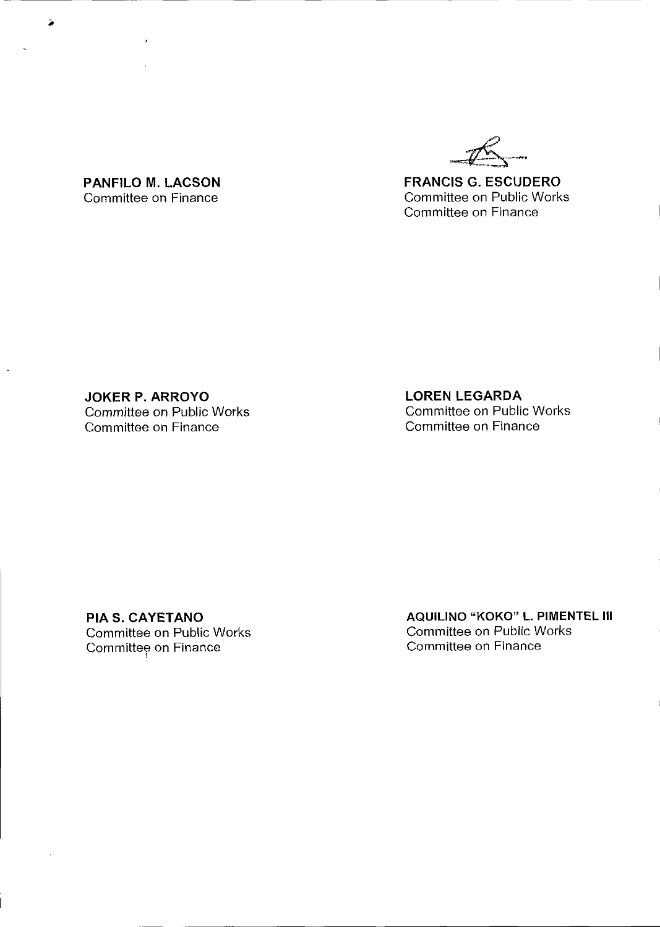

**FRANCIS G. ESCUDERO**  Committee on Public Works Committee on Finance

Committee on Finance

**PANFILO M. LACSON** 

 $\overline{\phantom{a}}$ 

**JOKER P. ARROYO**  Committee on Public Works Committee on Finance

**LOREN LEGARDA**  Committee on Public Works Committee on Finance

**PIA S. CAYETANO**  Committee on Public Works Committee on Finance

**AQUILINO "KOKO" L. PIMENTEL III**  Committee on Public Works Committee on Finance